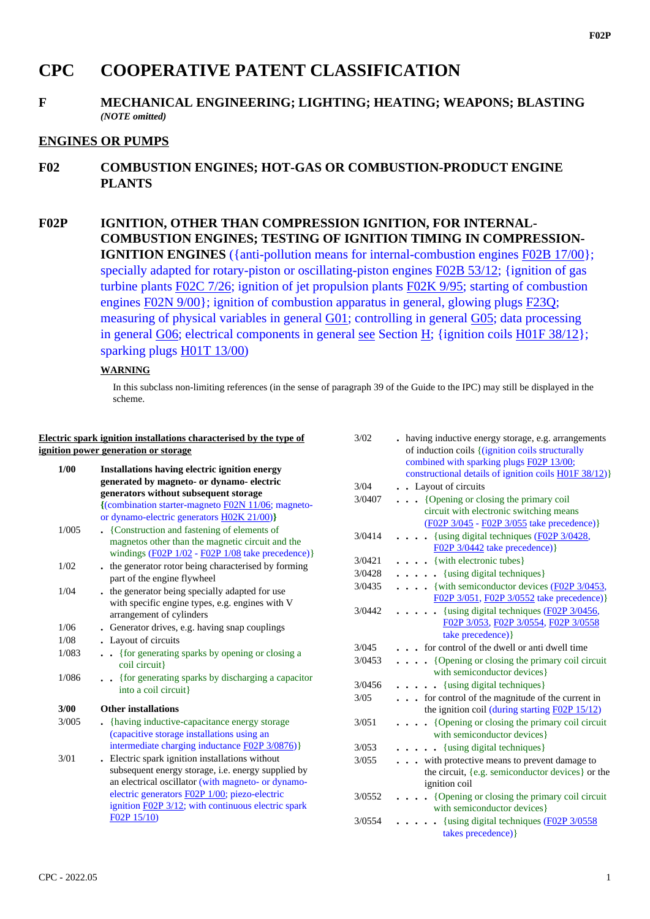# **CPC COOPERATIVE PATENT CLASSIFICATION**

## **F MECHANICAL ENGINEERING; LIGHTING; HEATING; WEAPONS; BLASTING** *(NOTE omitted)*

## **ENGINES OR PUMPS**

**F02 COMBUSTION ENGINES; HOT-GAS OR COMBUSTION-PRODUCT ENGINE PLANTS**

**F02P IGNITION, OTHER THAN COMPRESSION IGNITION, FOR INTERNAL-COMBUSTION ENGINES; TESTING OF IGNITION TIMING IN COMPRESSION-IGNITION ENGINES** ({anti-pollution means for internal-combustion engines F02B 17/00}; specially adapted for rotary-piston or oscillating-piston engines F02B 53/12; {ignition of gas turbine plants F02C 7/26; ignition of jet propulsion plants F02K 9/95; starting of combustion engines F02N 9/00}; ignition of combustion apparatus in general, glowing plugs F23Q; measuring of physical variables in general G01; controlling in general G05; data processing in general G06; electrical components in general see Section H; {ignition coils H01F 38/12}; sparking plugs H01T 13/00)

### **WARNING**

In this subclass non-limiting references (in the sense of paragraph 39 of the Guide to the IPC) may still be displayed in the scheme.

|       | Electric spark ignition installations characterised by the type of                                                                                                                                                                                                                       |
|-------|------------------------------------------------------------------------------------------------------------------------------------------------------------------------------------------------------------------------------------------------------------------------------------------|
|       | ignition power generation or storage                                                                                                                                                                                                                                                     |
| 1/00  | Installations having electric ignition energy<br>generated by magneto- or dynamo- electric                                                                                                                                                                                               |
|       | generators without subsequent storage                                                                                                                                                                                                                                                    |
|       | {(combination starter-magneto F02N 11/06; magneto-<br>or dynamo-electric generators <b>H02K 21/00</b> )}                                                                                                                                                                                 |
| 1/005 | • {Construction and fastening of elements of<br>magnetos other than the magnetic circuit and the<br>windings $(F02P 1/02 - F02P 1/08)$ take precedence)}                                                                                                                                 |
| 1/02  | . the generator rotor being characterised by forming<br>part of the engine flywheel                                                                                                                                                                                                      |
| 1/04  | . the generator being specially adapted for use<br>with specific engine types, e.g. engines with V<br>arrangement of cylinders                                                                                                                                                           |
| 1/06  | Generator drives, e.g. having snap couplings                                                                                                                                                                                                                                             |
| 1/08  | • Layout of circuits                                                                                                                                                                                                                                                                     |
| 1/083 | {for generating sparks by opening or closing a<br>coil circuit}                                                                                                                                                                                                                          |
| 1/086 | {for generating sparks by discharging a capacitor<br>into a coil circuit}                                                                                                                                                                                                                |
| 3/00  | <b>Other installations</b>                                                                                                                                                                                                                                                               |
| 3/005 | {having inductive-capacitance energy storage<br>(capacitive storage installations using an<br>intermediate charging inductance F02P 3/0876)}                                                                                                                                             |
| 3/01  | . Electric spark ignition installations without<br>subsequent energy storage, <i>i.e.</i> energy supplied by<br>an electrical oscillator (with magneto- or dynamo-<br>electric generators F02P 1/00; piezo-electric<br>ignition F02P 3/12; with continuous electric spark<br>F02P 15/10) |

| 3/02   | . having inductive energy storage, e.g. arrangements<br>of induction coils { (ignition coils structurally<br>combined with sparking plugs F02P 13/00;<br>constructional details of ignition coils H01F 38/12) |
|--------|---------------------------------------------------------------------------------------------------------------------------------------------------------------------------------------------------------------|
| 3/04   | . Layout of circuits                                                                                                                                                                                          |
| 3/0407 | • • {Opening or closing the primary coil                                                                                                                                                                      |
|        | circuit with electronic switching means                                                                                                                                                                       |
|        | (F02P 3/045 - F02P 3/055 take precedence) }                                                                                                                                                                   |
| 3/0414 | {using digital techniques (F02P 3/0428,<br>$\cdots$                                                                                                                                                           |
|        | $F02P$ 3/0442 take precedence) }                                                                                                                                                                              |
| 3/0421 | {with electronic tubes}                                                                                                                                                                                       |
| 3/0428 | $\cdots$ $\cdots$ {using digital techniques}                                                                                                                                                                  |
| 3/0435 | $\cdots$ {with semiconductor devices (F02P 3/0453,                                                                                                                                                            |
|        | F02P 3/051, F02P 3/0552 take precedence) }                                                                                                                                                                    |
| 3/0442 | . {using digital techniques (F02P 3/0456,                                                                                                                                                                     |
|        | F02P 3/053, F02P 3/0554, F02P 3/0558                                                                                                                                                                          |
|        | take precedence) }                                                                                                                                                                                            |
| 3/045  | for control of the dwell or anti dwell time                                                                                                                                                                   |
| 3/0453 | $\cdots$ (Opening or closing the primary coil circuit                                                                                                                                                         |
|        | with semiconductor devices}                                                                                                                                                                                   |
| 3/0456 | $\cdots$ (using digital techniques)                                                                                                                                                                           |
| 3/0.5  | for control of the magnitude of the current in                                                                                                                                                                |
|        | the ignition coil (during starting $F(02P 15/12)$ )                                                                                                                                                           |
| 3/0.51 | {Opening or closing the primary coil circuit<br>$\ddot{\phantom{0}}$                                                                                                                                          |
|        | with semiconductor devices}                                                                                                                                                                                   |
| 3/0.53 | . {using digital techniques}                                                                                                                                                                                  |
| 3/055  | with protective means to prevent damage to                                                                                                                                                                    |
|        | the circuit, {e.g. semiconductor devices} or the                                                                                                                                                              |
|        | ignition coil                                                                                                                                                                                                 |
| 3/0552 | {Opening or closing the primary coil circuit<br>$\ddot{\phantom{a}}$                                                                                                                                          |
|        | with semiconductor devices}                                                                                                                                                                                   |
| 3/0554 | {using digital techniques (F02P 3/0558                                                                                                                                                                        |
|        | takes precedence) }                                                                                                                                                                                           |
|        |                                                                                                                                                                                                               |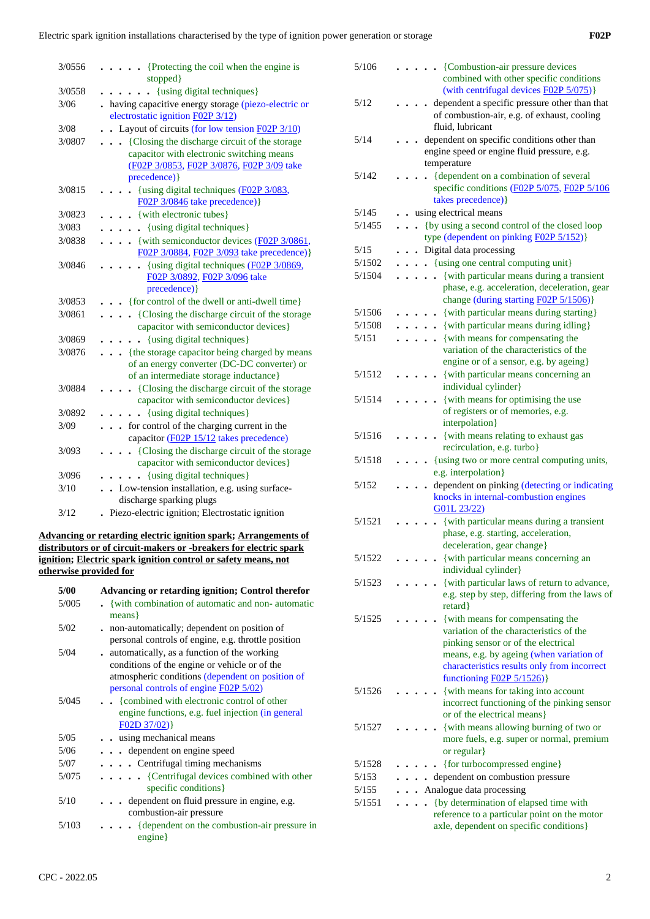| 3/0556 | {Protecting the coil when the engine is<br>stopped }                                                                                                     |
|--------|----------------------------------------------------------------------------------------------------------------------------------------------------------|
| 3/0558 | {using digital techniques}<br>$\mathbf{r}$                                                                                                               |
| 3/06   | having capacitive energy storage (piezo-electric or<br>electrostatic ignition F02P 3/12)                                                                 |
| 3/08   | • Layout of circuits (for low tension $F02P3/10$ )                                                                                                       |
| 3/0807 | {Closing the discharge circuit of the storage<br>capacitor with electronic switching means<br>(F02P 3/0853, F02P 3/0876, F02P 3/09 take<br>precedence) } |
| 3/0815 | {using digital techniques (F02P 3/083,<br>F02P 3/0846 take precedence) }                                                                                 |
| 3/0823 | {with electronic tubes}                                                                                                                                  |
| 3/083  | {using digital techniques}                                                                                                                               |
| 3/0838 | {with semiconductor devices (F02P 3/0861,<br>F02P 3/0884, F02P 3/093 take precedence) }                                                                  |
| 3/0846 | {using digital techniques (F02P 3/0869,<br>F02P 3/0892, F02P 3/096 take<br>precedence) }                                                                 |
| 3/0853 | {for control of the dwell or anti-dwell time}                                                                                                            |
| 3/0861 | {Closing the discharge circuit of the storage<br>capacitor with semiconductor devices}                                                                   |
| 3/0869 | {using digital techniques}<br>$\overline{a}$                                                                                                             |
| 3/0876 | {the storage capacitor being charged by means<br>of an energy converter (DC-DC converter) or<br>of an intermediate storage inductance}                   |
| 3/0884 | {Closing the discharge circuit of the storage<br>capacitor with semiconductor devices}                                                                   |
| 3/0892 | {using digital techniques}                                                                                                                               |
| 3/09   | for control of the charging current in the<br>$\overline{a}$<br>capacitor (F02P 15/12 takes precedence)                                                  |
| 3/093  | {Closing the discharge circuit of the storage<br>capacitor with semiconductor devices}                                                                   |
| 3/096  | {using digital techniques}                                                                                                                               |
| 3/10   | • Low-tension installation, e.g. using surface-<br>discharge sparking plugs                                                                              |
| 3/12   | Piezo-electric ignition; Electrostatic ignition                                                                                                          |

#### **Advancing or retarding electric ignition spark; Arrangements of distributors or of circuit-makers or -breakers for electric spark ignition; Electric spark ignition control or safety means, not otherwise provided for**

| 5/00  | <b>Advancing or retarding ignition; Control therefor</b>                                           |  |  |  |  |  |  |
|-------|----------------------------------------------------------------------------------------------------|--|--|--|--|--|--|
| 5/005 | with combination of automatic and non-automatic<br>$means\}$                                       |  |  |  |  |  |  |
| 5/02  | non-automatically; dependent on position of                                                        |  |  |  |  |  |  |
| 5/04  | personal controls of engine, e.g. throttle position<br>automatically, as a function of the working |  |  |  |  |  |  |
|       | conditions of the engine or vehicle or of the                                                      |  |  |  |  |  |  |
|       | atmospheric conditions (dependent on position of                                                   |  |  |  |  |  |  |
|       | personal controls of engine F02P 5/02)                                                             |  |  |  |  |  |  |
| 5/045 | {combined with electronic control of other                                                         |  |  |  |  |  |  |
|       | engine functions, e.g. fuel injection (in general                                                  |  |  |  |  |  |  |
|       | F02D 37/02)                                                                                        |  |  |  |  |  |  |
| 5/05  | using mechanical means                                                                             |  |  |  |  |  |  |
| 5/06  | $\cdots$ dependent on engine speed                                                                 |  |  |  |  |  |  |
| 5/07  | $\cdots$ $\cdots$ Centrifugal timing mechanisms                                                    |  |  |  |  |  |  |
| 5/075 | $\cdots$ $\cdots$ {Centrifugal devices combined with other<br>specific conditions }                |  |  |  |  |  |  |
| 5/10  | $\ldots$ dependent on fluid pressure in engine, e.g.<br>combustion-air pressure                    |  |  |  |  |  |  |
| 5/103 | $\cdots$ (dependent on the combustion-air pressure in<br>engine}                                   |  |  |  |  |  |  |
|       |                                                                                                    |  |  |  |  |  |  |

| 5/106  |  |  | • {Combustion-air pressure devices<br>combined with other specific conditions                                                        |
|--------|--|--|--------------------------------------------------------------------------------------------------------------------------------------|
|        |  |  | (with centrifugal devices F02P 5/075)}                                                                                               |
| 5/12   |  |  | dependent a specific pressure other than that<br>of combustion-air, e.g. of exhaust, cooling                                         |
|        |  |  | fluid, lubricant                                                                                                                     |
| 5/14   |  |  | dependent on specific conditions other than                                                                                          |
|        |  |  | engine speed or engine fluid pressure, e.g.                                                                                          |
|        |  |  | temperature                                                                                                                          |
| 5/142  |  |  | {dependent on a combination of several                                                                                               |
|        |  |  | specific conditions (F02P 5/075, F02P 5/106                                                                                          |
|        |  |  | takes precedence) }                                                                                                                  |
| 5/145  |  |  | . using electrical means                                                                                                             |
| 5/1455 |  |  | {by using a second control of the closed loop                                                                                        |
|        |  |  | type (dependent on pinking F02P 5/152)}                                                                                              |
| 5/15   |  |  | Digital data processing                                                                                                              |
| 5/1502 |  |  | $\ldots$ {using one central computing unit}                                                                                          |
| 5/1504 |  |  | . {with particular means during a transient<br>phase, e.g. acceleration, deceleration, gear<br>change (during starting F02P 5/1506)} |
| 5/1506 |  |  | . {with particular means during starting}                                                                                            |
| 5/1508 |  |  | • {with particular means during idling}                                                                                              |
| 5/151  |  |  | . {with means for compensating the                                                                                                   |
|        |  |  | variation of the characteristics of the                                                                                              |
|        |  |  | engine or of a sensor, e.g. by ageing}                                                                                               |
| 5/1512 |  |  | {with particular means concerning an                                                                                                 |
|        |  |  | individual cylinder}                                                                                                                 |
| 5/1514 |  |  | {with means for optimising the use                                                                                                   |
|        |  |  | of registers or of memories, e.g.                                                                                                    |
|        |  |  | interpolation}                                                                                                                       |
| 5/1516 |  |  | {with means relating to exhaust gas                                                                                                  |
| 5/1518 |  |  | recirculation, e.g. turbo}<br>{using two or more central computing units,                                                            |
|        |  |  | e.g. interpolation}                                                                                                                  |
| 5/152  |  |  | dependent on pinking (detecting or indicating                                                                                        |
|        |  |  | knocks in internal-combustion engines                                                                                                |
|        |  |  | G01L 23/22)                                                                                                                          |
| 5/1521 |  |  | {with particular means during a transient                                                                                            |
|        |  |  | phase, e.g. starting, acceleration,                                                                                                  |
|        |  |  | deceleration, gear change}                                                                                                           |
| 5/1522 |  |  | {with particular means concerning an                                                                                                 |
|        |  |  | individual cylinder}                                                                                                                 |
| 5/1523 |  |  | {with particular laws of return to advance,                                                                                          |
|        |  |  | e.g. step by step, differing from the laws of<br>retard }                                                                            |
| 5/1525 |  |  | {with means for compensating the                                                                                                     |
|        |  |  | variation of the characteristics of the                                                                                              |
|        |  |  | pinking sensor or of the electrical                                                                                                  |
|        |  |  | means, e.g. by ageing (when variation of                                                                                             |
|        |  |  | characteristics results only from incorrect                                                                                          |
|        |  |  | functioning F02P 5/1526)}                                                                                                            |
| 5/1526 |  |  | {with means for taking into account                                                                                                  |
|        |  |  | incorrect functioning of the pinking sensor                                                                                          |
|        |  |  | or of the electrical means}                                                                                                          |
| 5/1527 |  |  | {with means allowing burning of two or<br>more fuels, e.g. super or normal, premium                                                  |
|        |  |  | or regular}                                                                                                                          |
| 5/1528 |  |  | {for turbocompressed engine}                                                                                                         |
| 5/153  |  |  | dependent on combustion pressure                                                                                                     |
| 5/155  |  |  | Analogue data processing                                                                                                             |
| 5/1551 |  |  | {by determination of elapsed time with                                                                                               |
|        |  |  | reference to a particular point on the motor                                                                                         |
|        |  |  | axle, dependent on specific conditions}                                                                                              |
|        |  |  |                                                                                                                                      |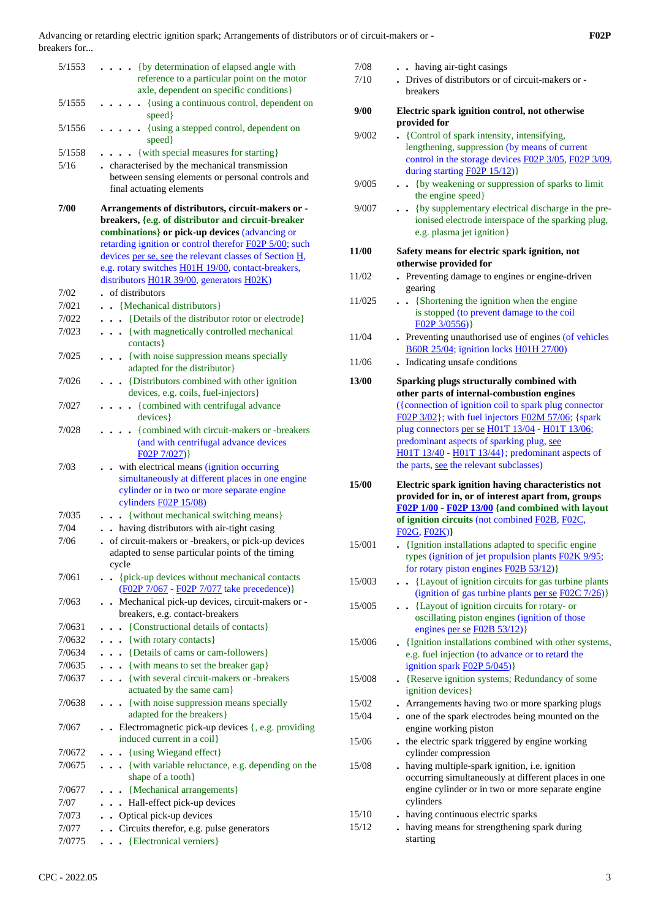| 5/1553 | {by determination of elapsed angle with<br>reference to a particular point on the motor<br>axle, dependent on specific conditions}                                        |
|--------|---------------------------------------------------------------------------------------------------------------------------------------------------------------------------|
| 5/1555 | . {using a continuous control, dependent on<br>speed }                                                                                                                    |
| 5/1556 | $\ldots$ $\ldots$ {using a stepped control, dependent on<br>speed}                                                                                                        |
| 5/1558 | {with special measures for starting}<br>$\ddotsc$                                                                                                                         |
| 5/16   | . characterised by the mechanical transmission                                                                                                                            |
|        | between sensing elements or personal controls and<br>final actuating elements                                                                                             |
| 7/00   | Arrangements of distributors, circuit-makers or -<br>breakers, {e.g. of distributor and circuit-breaker                                                                   |
|        | combinations} or pick-up devices (advancing or                                                                                                                            |
|        | retarding ignition or control therefor F02P 5/00; such                                                                                                                    |
|        | devices per se, see the relevant classes of Section H,<br>e.g. rotary switches <b>H01H 19/00</b> , contact-breakers,                                                      |
|        | distributors H01R 39/00, generators H02K)                                                                                                                                 |
| 7/02   | . of distributors                                                                                                                                                         |
| 7/021  | . . {Mechanical distributors}                                                                                                                                             |
| 7/022  | . {Details of the distributor rotor or electrode}                                                                                                                         |
| 7/023  | . {with magnetically controlled mechanical<br>contacts }                                                                                                                  |
| 7/025  | . {with noise suppression means specially<br>adapted for the distributor}                                                                                                 |
| 7/026  | . {Distributors combined with other ignition<br>devices, e.g. coils, fuel-injectors}                                                                                      |
| 7/027  | {combined with centrifugal advance}<br>devices}                                                                                                                           |
| 7/028  | {combined with circuit-makers or -breakers<br>(and with centrifugal advance devices<br>FO2P 7/027)                                                                        |
| 7/03   | . . with electrical means (ignition occurring<br>simultaneously at different places in one engine<br>cylinder or in two or more separate engine<br>cylinders $F02P 15/08$ |
| 7/035  | {without mechanical switching means}<br>$\ddot{\phantom{a}}$                                                                                                              |
| 7/04   | having distributors with air-tight casing                                                                                                                                 |
| 7/06   | of circuit-makers or -breakers, or pick-up devices<br>adapted to sense particular points of the timing<br>cycle                                                           |
| 7/061  | {pick-up devices without mechanical contacts<br>$\ddot{\phantom{0}}$<br>(F02P 7/067 - F02P 7/077 take precedence)}                                                        |
| 7/063  | Mechanical pick-up devices, circuit-makers or -                                                                                                                           |
|        | breakers, e.g. contact-breakers                                                                                                                                           |
| 7/0631 | . {Constructional details of contacts}                                                                                                                                    |
| 7/0632 | $\cdots$ {with rotary contacts}                                                                                                                                           |
| 7/0634 | {Details of cams or cam-followers}                                                                                                                                        |
| 7/0635 | . {with means to set the breaker gap}                                                                                                                                     |
| 7/0637 | . { with several circuit-makers or -breakers<br>actuated by the same cam}                                                                                                 |
| 7/0638 | {with noise suppression means specially<br>$\ddot{\phantom{0}}$<br>adapted for the breakers}                                                                              |
| 7/067  | Electromagnetic pick-up devices $\{, e.g.$ providing<br>induced current in a coil}                                                                                        |
| 7/0672 | . . {using Wiegand effect}                                                                                                                                                |
| 7/0675 | {with variable reluctance, e.g. depending on the<br>shape of a tooth}                                                                                                     |
| 7/0677 | . . {Mechanical arrangements}                                                                                                                                             |
| 7/07   | . Hall-effect pick-up devices                                                                                                                                             |
| 7/073  | • Optical pick-up devices                                                                                                                                                 |
| 7/077  | . Circuits therefor, e.g. pulse generators                                                                                                                                |
| 7/0775 | . {Electronical verniers}                                                                                                                                                 |

| 7/08<br>7/10   | . . having air-tight casings<br>. Drives of distributors or of circuit-makers or -<br>breakers                                                                                                                                                                                                                                                             |
|----------------|------------------------------------------------------------------------------------------------------------------------------------------------------------------------------------------------------------------------------------------------------------------------------------------------------------------------------------------------------------|
| 9/00           | Electric spark ignition control, not otherwise<br>provided for                                                                                                                                                                                                                                                                                             |
| 9/002          | • {Control of spark intensity, intensifying,<br>lengthening, suppression (by means of current<br>control in the storage devices F02P 3/05, F02P 3/09,<br>during starting F02P 15/12)}                                                                                                                                                                      |
| 9/005          | . . {by weakening or suppression of sparks to limit<br>the engine speed}                                                                                                                                                                                                                                                                                   |
| 9/007          | {by supplementary electrical discharge in the pre-<br>ionised electrode interspace of the sparking plug,<br>e.g. plasma jet ignition}                                                                                                                                                                                                                      |
| <b>11/00</b>   | Safety means for electric spark ignition, not<br>otherwise provided for                                                                                                                                                                                                                                                                                    |
| 11/02          | Preventing damage to engines or engine-driven<br>gearing                                                                                                                                                                                                                                                                                                   |
| 11/025         | {Shortening the ignition when the engine<br>is stopped (to prevent damage to the coil<br>$FO2P$ 3/0556)                                                                                                                                                                                                                                                    |
| 11/04          | . Preventing unauthorised use of engines (of vehicles<br>B60R 25/04; ignition locks H01H 27/00)                                                                                                                                                                                                                                                            |
| 11/06          | Indicating unsafe conditions<br>$\ddot{\phantom{0}}$                                                                                                                                                                                                                                                                                                       |
| <b>13/00</b>   | Sparking plugs structurally combined with<br>other parts of internal-combustion engines<br>({connection of ignition coil to spark plug connector<br>F02P 3/02}; with fuel injectors F02M 57/06; {spark<br>plug connectors per se H01T 13/04 - H01T 13/06;<br>predominant aspects of sparking plug, see<br>H01T 13/40 - H01T 13/44}; predominant aspects of |
|                | the parts, see the relevant subclasses)                                                                                                                                                                                                                                                                                                                    |
| 15/00          | Electric spark ignition having characteristics not<br>provided for in, or of interest apart from, groups<br>F02P 1/00 - F02P 13/00 {and combined with layout<br>of ignition circuits (not combined F02B, F02C,                                                                                                                                             |
| 15/001         | F02G, F02K)<br>. {Ignition installations adapted to specific engine<br>types (ignition of jet propulsion plants F02K 9/95;<br>for rotary piston engines F02B 53/12)}                                                                                                                                                                                       |
| 15/003         | {Layout of ignition circuits for gas turbine plants<br>(ignition of gas turbine plants per se $F02C$ 7/26)}                                                                                                                                                                                                                                                |
| 15/005         | . . {Layout of ignition circuits for rotary- or<br>oscillating piston engines (ignition of those<br>engines per se $F02B 53/12$                                                                                                                                                                                                                            |
| 15/006         | . {Ignition installations combined with other systems,<br>e.g. fuel injection (to advance or to retard the<br>ignition spark <b>F02P</b> 5/045)}                                                                                                                                                                                                           |
| 15/008         | . {Reserve ignition systems; Redundancy of some<br>ignition devices}                                                                                                                                                                                                                                                                                       |
| 15/02          | . Arrangements having two or more sparking plugs                                                                                                                                                                                                                                                                                                           |
| 15/04          | . one of the spark electrodes being mounted on the<br>engine working piston                                                                                                                                                                                                                                                                                |
| 15/06          | . the electric spark triggered by engine working<br>cylinder compression                                                                                                                                                                                                                                                                                   |
| 15/08          | having multiple-spark ignition, i.e. ignition<br>occurring simultaneously at different places in one<br>engine cylinder or in two or more separate engine<br>cylinders                                                                                                                                                                                     |
| 15/10<br>15/12 | . having continuous electric sparks<br>. having means for strengthening spark during                                                                                                                                                                                                                                                                       |